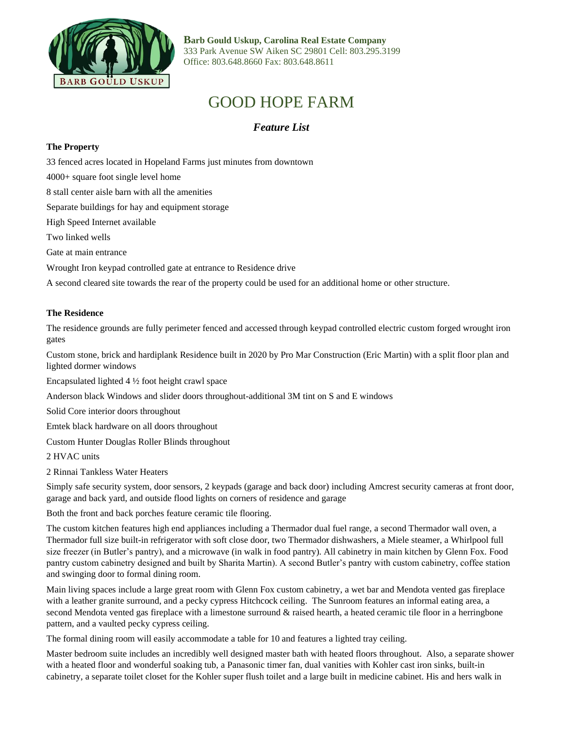

**Barb Gould Uskup, Carolina Real Estate Company** 333 Park Avenue SW Aiken SC 29801 Cell: 803.295.3199 Office: 803.648.8660 Fax: 803.648.8611

## GOOD HOPE FARM

*Feature List*

## **The Property**

33 fenced acres located in Hopeland Farms just minutes from downtown

4000+ square foot single level home

8 stall center aisle barn with all the amenities

Separate buildings for hay and equipment storage

High Speed Internet available

Two linked wells

Gate at main entrance

Wrought Iron keypad controlled gate at entrance to Residence drive

A second cleared site towards the rear of the property could be used for an additional home or other structure.

## **The Residence**

The residence grounds are fully perimeter fenced and accessed through keypad controlled electric custom forged wrought iron gates

Custom stone, brick and hardiplank Residence built in 2020 by Pro Mar Construction (Eric Martin) with a split floor plan and lighted dormer windows

Encapsulated lighted 4 ½ foot height crawl space

Anderson black Windows and slider doors throughout-additional 3M tint on S and E windows

Solid Core interior doors throughout

Emtek black hardware on all doors throughout

Custom Hunter Douglas Roller Blinds throughout

2 HVAC units

2 Rinnai Tankless Water Heaters

Simply safe security system, door sensors, 2 keypads (garage and back door) including Amcrest security cameras at front door, garage and back yard, and outside flood lights on corners of residence and garage

Both the front and back porches feature ceramic tile flooring.

The custom kitchen features high end appliances including a Thermador dual fuel range, a second Thermador wall oven, a Thermador full size built-in refrigerator with soft close door, two Thermador dishwashers, a Miele steamer, a Whirlpool full size freezer (in Butler's pantry), and a microwave (in walk in food pantry). All cabinetry in main kitchen by Glenn Fox. Food pantry custom cabinetry designed and built by Sharita Martin). A second Butler's pantry with custom cabinetry, coffee station and swinging door to formal dining room.

Main living spaces include a large great room with Glenn Fox custom cabinetry, a wet bar and Mendota vented gas fireplace with a leather granite surround, and a pecky cypress Hitchcock ceiling. The Sunroom features an informal eating area, a second Mendota vented gas fireplace with a limestone surround & raised hearth, a heated ceramic tile floor in a herringbone pattern, and a vaulted pecky cypress ceiling.

The formal dining room will easily accommodate a table for 10 and features a lighted tray ceiling.

Master bedroom suite includes an incredibly well designed master bath with heated floors throughout. Also, a separate shower with a heated floor and wonderful soaking tub, a Panasonic timer fan, dual vanities with Kohler cast iron sinks, built-in cabinetry, a separate toilet closet for the Kohler super flush toilet and a large built in medicine cabinet. His and hers walk in